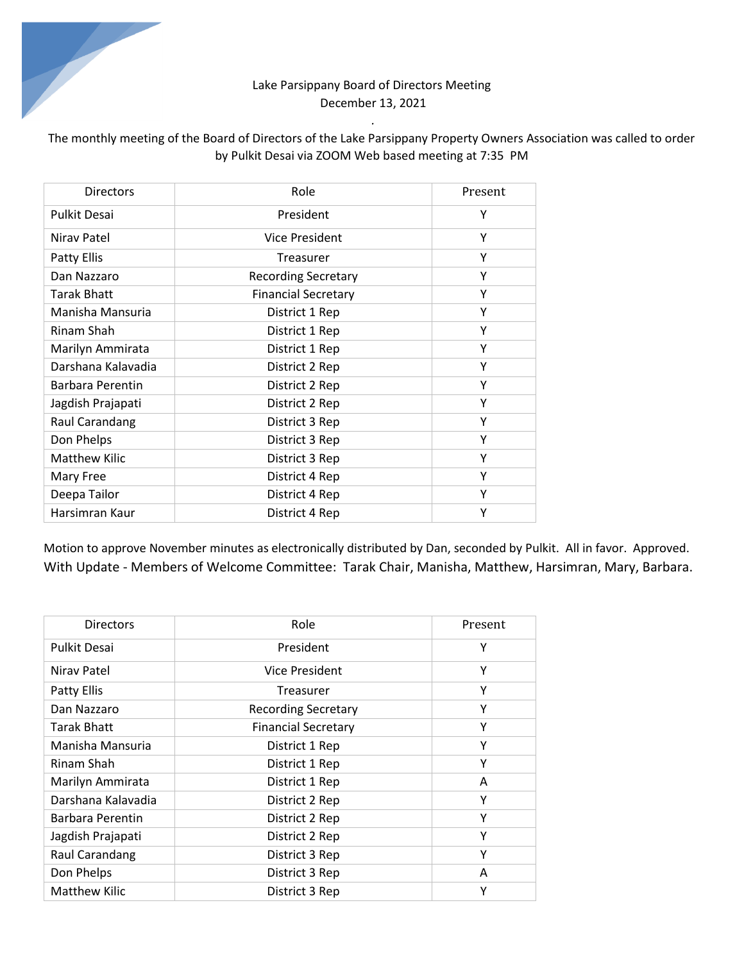## Lake Parsippany Board of Directors Meeting December 13, 2021

*.* 

# The monthly meeting of the Board of Directors of the Lake Parsippany Property Owners Association was called to order by Pulkit Desai via ZOOM Web based meeting at 7:35 PM

| Directors            | Role                       | Present |
|----------------------|----------------------------|---------|
| <b>Pulkit Desai</b>  | President                  | Y       |
| Niray Patel          | Vice President             | Υ       |
| Patty Ellis          | Treasurer                  | Υ       |
| Dan Nazzaro          | <b>Recording Secretary</b> | Υ       |
| <b>Tarak Bhatt</b>   | <b>Financial Secretary</b> | Υ       |
| Manisha Mansuria     | District 1 Rep             | Υ       |
| Rinam Shah           | District 1 Rep             | Υ       |
| Marilyn Ammirata     | District 1 Rep             | Υ       |
| Darshana Kalavadia   | District 2 Rep             | Υ       |
| Barbara Perentin     | District 2 Rep             | Υ       |
| Jagdish Prajapati    | District 2 Rep             | Y       |
| Raul Carandang       | District 3 Rep             | Y       |
| Don Phelps           | District 3 Rep             | Υ       |
| <b>Matthew Kilic</b> | District 3 Rep             | Y       |
| Mary Free            | District 4 Rep             | Y       |
| Deepa Tailor         | District 4 Rep             | Υ       |
| Harsimran Kaur       | District 4 Rep             | Υ       |

Motion to approve November minutes as electronically distributed by Dan, seconded by Pulkit. All in favor. Approved. With Update - Members of Welcome Committee: Tarak Chair, Manisha, Matthew, Harsimran, Mary, Barbara.

| <b>Directors</b>     | Role                       | Present |
|----------------------|----------------------------|---------|
| Pulkit Desai         | President                  | Υ       |
| Niray Patel          | Vice President             | Υ       |
| Patty Ellis          | Treasurer                  | Υ       |
| Dan Nazzaro          | <b>Recording Secretary</b> | Υ       |
| <b>Tarak Bhatt</b>   | <b>Financial Secretary</b> | Υ       |
| Manisha Mansuria     | District 1 Rep             | Υ       |
| Rinam Shah           | District 1 Rep             | Υ       |
| Marilyn Ammirata     | District 1 Rep             | A       |
| Darshana Kalavadia   | District 2 Rep             | Υ       |
| Barbara Perentin     | District 2 Rep             | Υ       |
| Jagdish Prajapati    | District 2 Rep             | Υ       |
| Raul Carandang       | District 3 Rep             | Υ       |
| Don Phelps           | District 3 Rep             | A       |
| <b>Matthew Kilic</b> | District 3 Rep             | Υ       |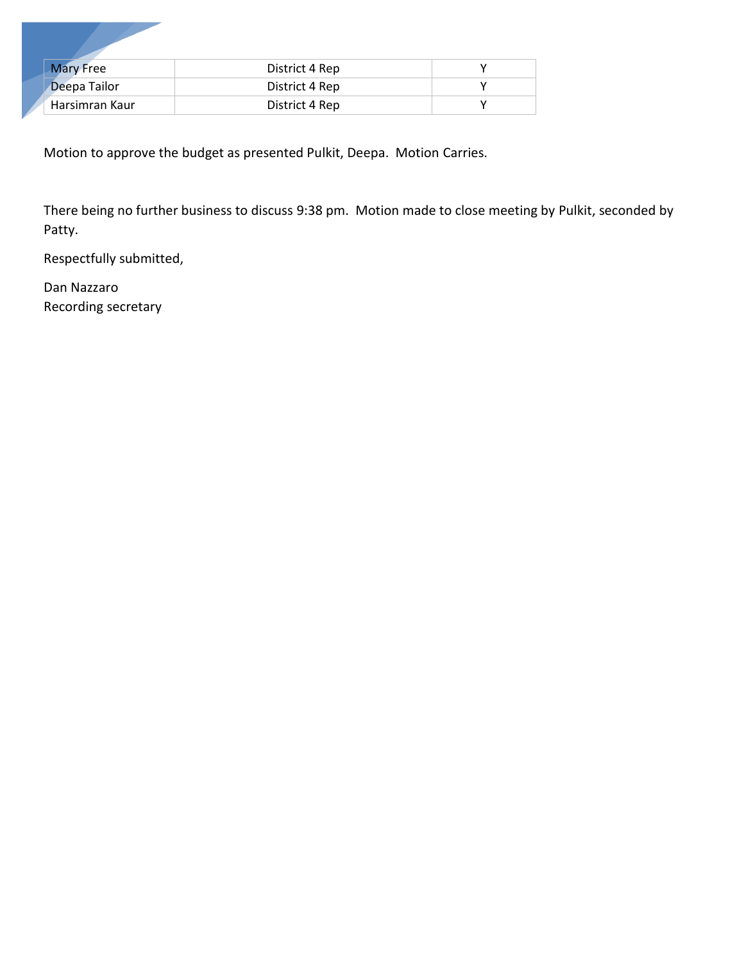| <b>Mary Free</b> | District 4 Rep |  |
|------------------|----------------|--|
| Deepa Tailor     | District 4 Rep |  |
| Harsimran Kaur   | District 4 Rep |  |

Motion to approve the budget as presented Pulkit, Deepa. Motion Carries.

There being no further business to discuss 9:38 pm. Motion made to close meeting by Pulkit, seconded by Patty.

Respectfully submitted,

Dan Nazzaro Recording secretary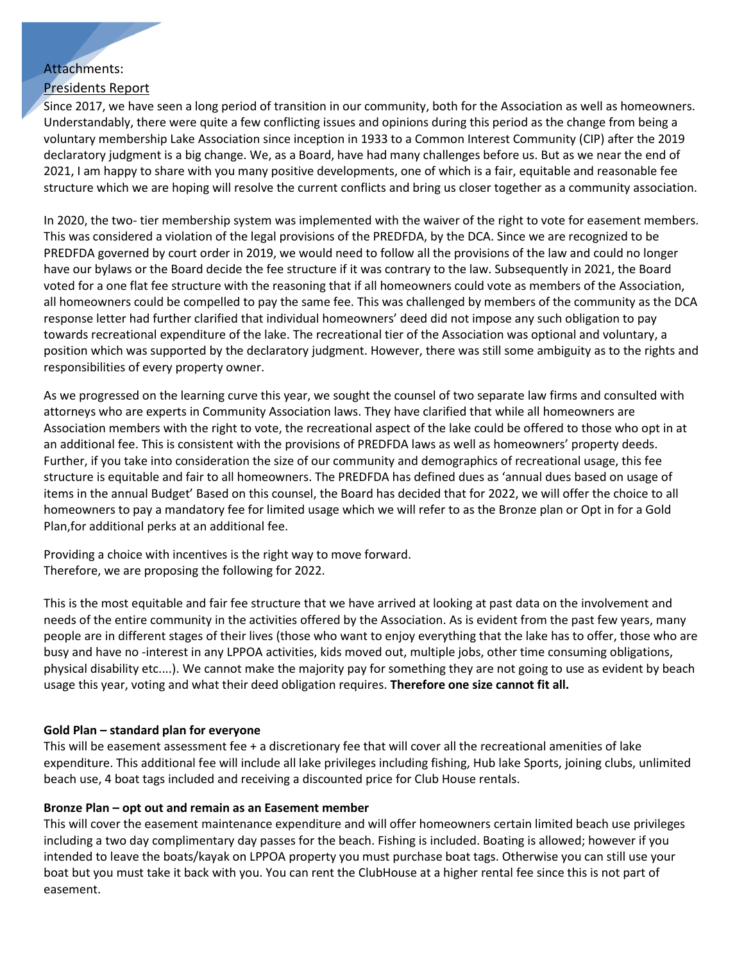### Attachments:

### Presidents Report

Since 2017, we have seen a long period of transition in our community, both for the Association as well as homeowners. Understandably, there were quite a few conflicting issues and opinions during this period as the change from being a voluntary membership Lake Association since inception in 1933 to a Common Interest Community (CIP) after the 2019 declaratory judgment is a big change. We, as a Board, have had many challenges before us. But as we near the end of 2021, I am happy to share with you many positive developments, one of which is a fair, equitable and reasonable fee structure which we are hoping will resolve the current conflicts and bring us closer together as a community association.

In 2020, the two- tier membership system was implemented with the waiver of the right to vote for easement members. This was considered a violation of the legal provisions of the PREDFDA, by the DCA. Since we are recognized to be PREDFDA governed by court order in 2019, we would need to follow all the provisions of the law and could no longer have our bylaws or the Board decide the fee structure if it was contrary to the law. Subsequently in 2021, the Board voted for a one flat fee structure with the reasoning that if all homeowners could vote as members of the Association, all homeowners could be compelled to pay the same fee. This was challenged by members of the community as the DCA response letter had further clarified that individual homeowners' deed did not impose any such obligation to pay towards recreational expenditure of the lake. The recreational tier of the Association was optional and voluntary, a position which was supported by the declaratory judgment. However, there was still some ambiguity as to the rights and responsibilities of every property owner.

As we progressed on the learning curve this year, we sought the counsel of two separate law firms and consulted with attorneys who are experts in Community Association laws. They have clarified that while all homeowners are Association members with the right to vote, the recreational aspect of the lake could be offered to those who opt in at an additional fee. This is consistent with the provisions of PREDFDA laws as well as homeowners' property deeds. Further, if you take into consideration the size of our community and demographics of recreational usage, this fee structure is equitable and fair to all homeowners. The PREDFDA has defined dues as 'annual dues based on usage of items in the annual Budget' Based on this counsel, the Board has decided that for 2022, we will offer the choice to all homeowners to pay a mandatory fee for limited usage which we will refer to as the Bronze plan or Opt in for a Gold Plan,for additional perks at an additional fee.

Providing a choice with incentives is the right way to move forward. Therefore, we are proposing the following for 2022.

This is the most equitable and fair fee structure that we have arrived at looking at past data on the involvement and needs of the entire community in the activities offered by the Association. As is evident from the past few years, many people are in different stages of their lives (those who want to enjoy everything that the lake has to offer, those who are busy and have no -interest in any LPPOA activities, kids moved out, multiple jobs, other time consuming obligations, physical disability etc....). We cannot make the majority pay for something they are not going to use as evident by beach usage this year, voting and what their deed obligation requires. **Therefore one size cannot fit all.**

#### **Gold Plan – standard plan for everyone**

This will be easement assessment fee + a discretionary fee that will cover all the recreational amenities of lake expenditure. This additional fee will include all lake privileges including fishing, Hub lake Sports, joining clubs, unlimited beach use, 4 boat tags included and receiving a discounted price for Club House rentals.

#### **Bronze Plan – opt out and remain as an Easement member**

This will cover the easement maintenance expenditure and will offer homeowners certain limited beach use privileges including a two day complimentary day passes for the beach. Fishing is included. Boating is allowed; however if you intended to leave the boats/kayak on LPPOA property you must purchase boat tags. Otherwise you can still use your boat but you must take it back with you. You can rent the ClubHouse at a higher rental fee since this is not part of easement.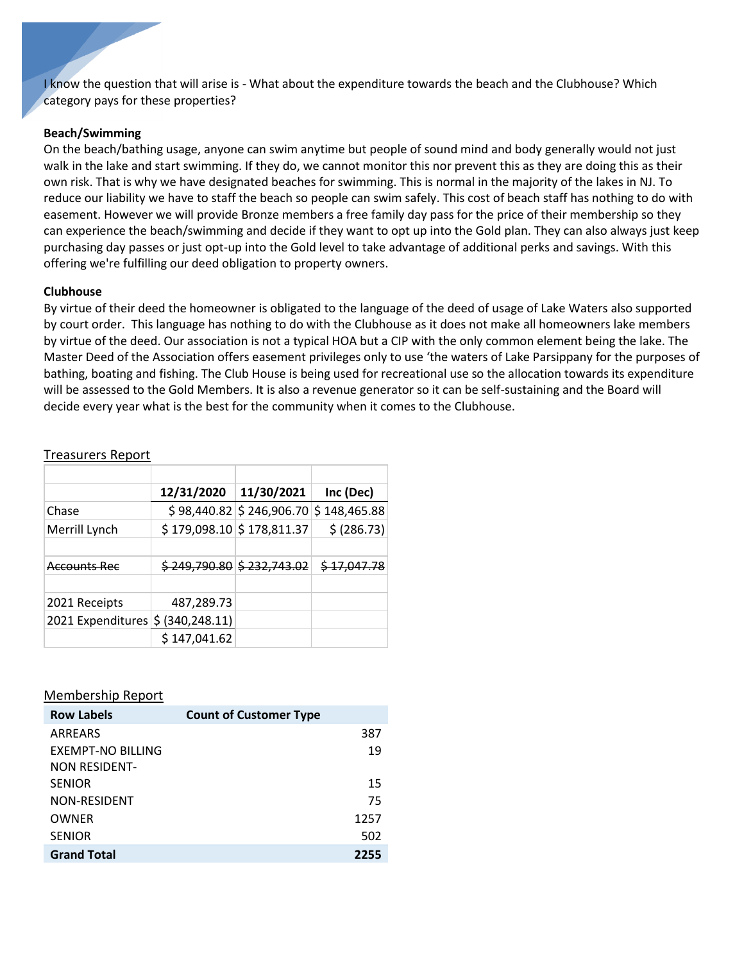I know the question that will arise is - What about the expenditure towards the beach and the Clubhouse? Which category pays for these properties?

#### **Beach/Swimming**

On the beach/bathing usage, anyone can swim anytime but people of sound mind and body generally would not just walk in the lake and start swimming. If they do, we cannot monitor this nor prevent this as they are doing this as their own risk. That is why we have designated beaches for swimming. This is normal in the majority of the lakes in NJ. To reduce our liability we have to staff the beach so people can swim safely. This cost of beach staff has nothing to do with easement. However we will provide Bronze members a free family day pass for the price of their membership so they can experience the beach/swimming and decide if they want to opt up into the Gold plan. They can also always just keep purchasing day passes or just opt-up into the Gold level to take advantage of additional perks and savings. With this offering we're fulfilling our deed obligation to property owners.

#### **Clubhouse**

By virtue of their deed the homeowner is obligated to the language of the deed of usage of Lake Waters also supported by court order. This language has nothing to do with the Clubhouse as it does not make all homeowners lake members by virtue of the deed. Our association is not a typical HOA but a CIP with the only common element being the lake. The Master Deed of the Association offers easement privileges only to use 'the waters of Lake Parsippany for the purposes of bathing, boating and fishing. The Club House is being used for recreational use so the allocation towards its expenditure will be assessed to the Gold Members. It is also a revenue generator so it can be self-sustaining and the Board will decide every year what is the best for the community when it comes to the Clubhouse.

|                                   | 12/31/2020   | 11/30/2021                         | Inc (Dec)    |
|-----------------------------------|--------------|------------------------------------|--------------|
| Chase                             |              | $$98,440.82 \mid $246,906.70 \mid$ | \$148,465.88 |
| Merrill Lynch                     |              | $$179,098.10 \mid $178,811.37$     | \$ (286.73)  |
|                                   |              |                                    |              |
| Accounts Rec                      |              | $$249,790.80 \times 232,743.02$    | \$17,047.78  |
|                                   |              |                                    |              |
| 2021 Receipts                     | 487,289.73   |                                    |              |
| 2021 Expenditures \$ (340,248.11) |              |                                    |              |
|                                   | \$147,041.62 |                                    |              |

#### Treasurers Report

#### Membership Report

| <b>Row Labels</b>        | <b>Count of Customer Type</b> |      |
|--------------------------|-------------------------------|------|
| ARREARS                  |                               | 387  |
| <b>EXEMPT-NO BILLING</b> |                               | 19   |
| <b>NON RESIDENT-</b>     |                               |      |
| <b>SENIOR</b>            |                               | 15   |
| NON-RESIDENT             |                               | 75   |
| OWNER                    |                               | 1257 |
| <b>SENIOR</b>            |                               | 502  |
| <b>Grand Total</b>       |                               | 2255 |